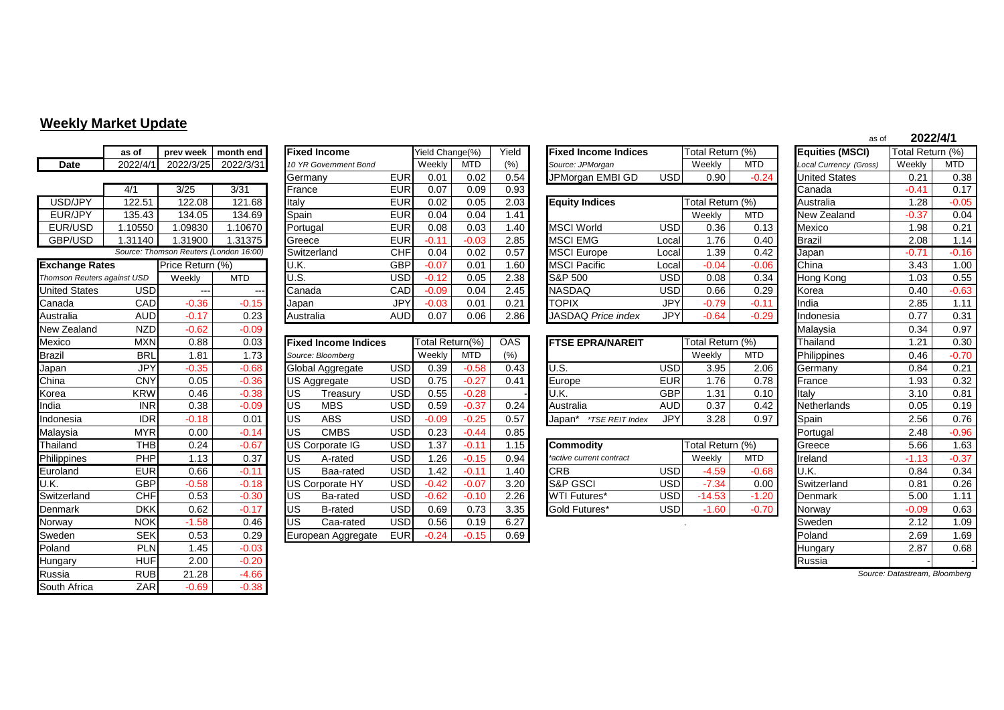## **Weekly Market Update**

|                             | as of      | prev week                              | month end  |            | <b>Fixed Income</b>         |            | Yield Change(%) |            | Yield      | <b>Fixed Income Indices</b> |            | Total Return (%) |            | <b>Equities (MSCI)</b> | Total Return (%)              |            |
|-----------------------------|------------|----------------------------------------|------------|------------|-----------------------------|------------|-----------------|------------|------------|-----------------------------|------------|------------------|------------|------------------------|-------------------------------|------------|
| <b>Date</b>                 | 2022/4/    | 2022/3/25                              | 2022/3/31  |            | 10 YR Government Bond       |            | Weekly          | <b>MTD</b> | (%)        | Source: JPMorgan            |            | Weekly           | <b>MTD</b> | Local Currency (Gross) | Weekly                        | <b>MTD</b> |
|                             |            |                                        |            |            | Germany                     | <b>EUR</b> | 0.01            | 0.02       | 0.54       | JPMorgan EMBI GD            | <b>USD</b> | 0.90             | $-0.24$    | <b>United States</b>   | 0.21                          | 0.38       |
|                             | 4/1        | 3/25                                   | 3/31       |            | France                      | <b>EUR</b> | 0.07            | 0.09       | 0.93       |                             |            |                  |            | Canada                 | $-0.41$                       | 0.17       |
| USD/JPY                     | 122.51     | 122.08                                 | 121.68     | Italy      |                             | <b>EUR</b> | 0.02            | 0.05       | 2.03       | <b>Equity Indices</b>       |            | Total Return (%) |            | Australia              | 1.28                          | $-0.05$    |
| EUR/JPY                     | 135.43     | 134.05                                 | 134.69     | Spain      |                             | <b>EUR</b> | 0.04            | 0.04       | 1.41       |                             |            | Weekly           | <b>MTD</b> | New Zealand            | $-0.37$                       | 0.04       |
| EUR/USD                     | 1.10550    | 1.09830                                | 1.10670    |            | Portugal                    | <b>EUR</b> | 0.08            | 0.03       | 1.40       | <b>MSCI World</b>           | <b>USD</b> | 0.36             | 0.13       | Mexico                 | 1.98                          | 0.21       |
| GBP/USD                     | 1.31140    | 1.31900                                | 1.31375    |            | Greece                      | <b>EUR</b> | $-0.11$         | $-0.03$    | 2.85       | <b>MSCI EMG</b>             | Local      | 1.76             | 0.40       | <b>Brazil</b>          | 2.08                          | 1.14       |
|                             |            | Source: Thomson Reuters (London 16:00) |            |            | Switzerland                 | <b>CHF</b> | 0.04            | 0.02       | 0.57       | <b>MSCI</b> Europe          | Local      | 1.39             | 0.42       | Japan                  | $-0.71$                       | $-0.16$    |
| <b>Exchange Rates</b>       |            | Price Return (%)                       |            | U.K.       |                             | <b>GBP</b> | $-0.07$         | 0.01       | 1.60       | <b>MSCI Pacific</b>         | Local      | $-0.04$          | $-0.06$    | China                  | 3.43                          | 1.00       |
| Thomson Reuters against USD |            | Weekly                                 | <b>MTD</b> | U.S.       |                             | <b>USD</b> | $-0.12$         | 0.05       | 2.38       | S&P 500                     | <b>USD</b> | 0.08             | 0.34       | Hong Kong              | 1.03                          | 0.55       |
| <b>United States</b>        | <b>USD</b> | $\overline{\phantom{a}}$               |            |            | Canada                      | CAD        | $-0.09$         | 0.04       | 2.45       | <b>NASDAQ</b>               | <b>USD</b> | 0.66             | 0.29       | Korea                  | 0.40                          | $-0.63$    |
| Canada                      | CAD        | $-0.36$                                | $-0.15$    | Japan      |                             | JPY        | $-0.03$         | 0.01       | 0.21       | <b>TOPIX</b>                | <b>JPY</b> | $-0.79$          | $-0.11$    | India                  | 2.85                          | 1.11       |
| Australia                   | <b>AUD</b> | $-0.17$                                | 0.23       |            | Australia                   | <b>AUD</b> | 0.07            | 0.06       | 2.86       | <b>JASDAQ Price index</b>   | <b>JPY</b> | $-0.64$          | $-0.29$    | Indonesia              | 0.77                          | 0.31       |
| New Zealand                 | <b>NZD</b> | $-0.62$                                | $-0.09$    |            |                             |            |                 |            |            |                             |            |                  |            | Malaysia               | 0.34                          | 0.97       |
| Mexico                      | <b>MXN</b> | 0.88                                   | 0.03       |            | <b>Fixed Income Indices</b> |            | Total Return(%) |            | <b>OAS</b> | <b>FTSE EPRA/NAREIT</b>     |            | Total Return (%) |            | Thailand               | 1.21                          | 0.30       |
| <b>Brazil</b>               | <b>BRL</b> | 1.81                                   | 1.73       |            | Source: Bloomberg           |            | Weekly          | <b>MTD</b> | (%)        |                             |            | Weekly           | <b>MTD</b> | Philippines            | 0.46                          | $-0.70$    |
| Japan                       | <b>JPY</b> | $-0.35$                                | $-0.68$    |            | Global Aggregate            | <b>USD</b> | 0.39            | $-0.58$    | 0.43       | U.S.                        | <b>USD</b> | 3.95             | 2.06       | Germany                | 0.84                          | 0.21       |
| China                       | <b>CNY</b> | 0.05                                   | $-0.36$    |            | <b>US Aggregate</b>         | <b>USD</b> | 0.75            | $-0.27$    | 0.41       | Europe                      | <b>EUR</b> | 1.76             | 0.78       | France                 | 1.93                          | 0.32       |
| Korea                       | <b>KRW</b> | 0.46                                   | $-0.38$    | <b>IUS</b> | Treasury                    | USD        | 0.55            | $-0.28$    |            | U.K.                        | <b>GBP</b> | 1.31             | 0.10       | Italy                  | 3.10                          | 0.81       |
| India                       | <b>INR</b> | 0.38                                   | $-0.09$    | <b>US</b>  | <b>MBS</b>                  | <b>USD</b> | 0.59            | $-0.37$    | 0.24       | Australia                   | <b>AUD</b> | 0.37             | 0.42       | Netherlands            | 0.05                          | 0.19       |
| Indonesia                   | <b>IDR</b> | $-0.18$                                | 0.01       | lus        | <b>ABS</b>                  | <b>USD</b> | $-0.09$         | $-0.25$    | 0.57       | Japan* *TSE REIT Index      | <b>JPY</b> | 3.28             | 0.97       | Spain                  | 2.56                          | 0.76       |
| Malaysia                    | <b>MYR</b> | 0.00                                   | $-0.14$    | <b>US</b>  | <b>CMBS</b>                 | <b>USD</b> | 0.23            | $-0.44$    | 0.85       |                             |            |                  |            | Portugal               | 2.48                          | $-0.96$    |
| Thailand                    | <b>THB</b> | 0.24                                   | $-0.67$    |            | <b>US Corporate IG</b>      | <b>USD</b> | 1.37            | $-0.11$    | 1.15       | <b>Commodity</b>            |            | Total Return (%) |            | Greece                 | 5.66                          | 1.63       |
| Philippines                 | PHP        | 1.13                                   | 0.37       | <b>IUS</b> | A-rated                     | <b>USD</b> | 1.26            | $-0.15$    | 0.94       | *active current contract    |            | Weekly           | <b>MTD</b> | Ireland                | $-1.13$                       | $-0.37$    |
| Euroland                    | <b>EUR</b> | 0.66                                   | $-0.11$    | US         | Baa-rated                   | <b>USD</b> | 1.42            | $-0.11$    | 1.40       | <b>CRB</b>                  | <b>USD</b> | $-4.59$          | $-0.68$    | U.K.                   | 0.84                          | 0.34       |
| U.K.                        | <b>GBP</b> | $-0.58$                                | $-0.18$    |            | <b>US Corporate HY</b>      | <b>USD</b> | $-0.42$         | $-0.07$    | 3.20       | <b>S&amp;P GSCI</b>         | <b>USD</b> | $-7.34$          | 0.00       | Switzerland            | 0.81                          | 0.26       |
| Switzerland                 | <b>CHF</b> | 0.53                                   | $-0.30$    | lus        | Ba-rated                    | <b>USD</b> | $-0.62$         | $-0.10$    | 2.26       | <b>WTI Futures*</b>         | <b>USD</b> | $-14.53$         | $-1.20$    | Denmark                | 5.00                          | 1.11       |
| Denmark                     | <b>DKK</b> | 0.62                                   | $-0.17$    | <b>US</b>  | <b>B-rated</b>              | <b>USD</b> | 0.69            | 0.73       | 3.35       | Gold Futures*               | <b>USD</b> | $-1.60$          | $-0.70$    | Norway                 | $-0.09$                       | 0.63       |
| <b>Norway</b>               | <b>NOK</b> | $-1.58$                                | 0.46       | lus        | Caa-rated                   | <b>USD</b> | 0.56            | 0.19       | 6.27       |                             |            |                  |            | Sweden                 | 2.12                          | 1.09       |
| Sweden                      | <b>SEK</b> | 0.53                                   | 0.29       |            | European Aggregate          | <b>EUR</b> | $-0.24$         | $-0.15$    | 0.69       |                             |            |                  |            | Poland                 | 2.69                          | 1.69       |
| Poland                      | <b>PLN</b> | 1.45                                   | $-0.03$    |            |                             |            |                 |            |            |                             |            |                  |            | Hungary                | 2.87                          | 0.68       |
| <b>Hungary</b>              | <b>HUF</b> | 2.00                                   | $-0.20$    |            |                             |            |                 |            |            |                             |            |                  |            | Russia                 |                               |            |
| Russia                      | <b>RUB</b> | 21.28                                  | $-4.66$    |            |                             |            |                 |            |            |                             |            |                  |            |                        | Source: Datastream, Bloomberg |            |
| South Africa                | ZAR        | $-0.69$                                | $-0.38$    |            |                             |            |                 |            |            |                             |            |                  |            |                        |                               |            |

|                             | as of      | prev week                              | month end  | <b>Fixed Income</b>   |            | Yield Change(%) |            | Yield | <b>Fixed Income Indices</b> |            | Total Return (%) |            | <b>Equities (MSCI)</b>        | Total Return (%) |            |
|-----------------------------|------------|----------------------------------------|------------|-----------------------|------------|-----------------|------------|-------|-----------------------------|------------|------------------|------------|-------------------------------|------------------|------------|
| Date                        | 2022/4/1   | 2022/3/25                              | 2022/3/31  | 10 YR Government Bond |            | Weekly          | <b>MTD</b> | (% )  | Source: JPMorgan            |            | Weekly           | <b>MTD</b> | <b>Local Currency (Gross)</b> | Weekly           | <b>MTD</b> |
|                             |            |                                        |            | Germany               | <b>EUR</b> | 0.01            | 0.02       | 0.54  | JPMorgan EMBI GD            | <b>USD</b> | 0.90             | $-0.24$    | <b>United States</b>          | 0.21             | 0.38       |
|                             | 4/1        | 3/25                                   | 3/31       | France                | <b>EUR</b> | 0.07            | 0.09       | 0.93  |                             |            |                  |            | Canada                        | $-0.41$          | 0.17       |
| USD/JPY                     | 122.51     | 122.08                                 | 121.68     | Italy                 | <b>EUR</b> | 0.02            | 0.05       | 2.03  | <b>Equity Indices</b>       |            | Total Return (%) |            | Australia                     | 1.28             | $-0.05$    |
| EUR/JPY                     | 135.43     | 134.05                                 | 134.69     | Spain                 | <b>EUR</b> | 0.04            | 0.04       | 1.41  |                             |            | Weekly           | <b>MTD</b> | New Zealand                   | $-0.37$          | 0.04       |
| EUR/USD                     | .10550     | 1.09830                                | .10670     | Portugal              | <b>EUR</b> | 0.08            | 0.03       | 1.40  | <b>MSCI World</b>           | <b>USD</b> | 0.36             | 0.13       | Mexico                        | 1.98             | 0.21       |
| GBP/USD                     | .31140     | 1.31900                                | 1.31375    | Greece                | <b>EUR</b> | $-0.1^{\circ}$  | $-0.03$    | 2.85  | <b>MSCI EMG</b>             | Locall     | .76              | 0.40       | <b>Brazil</b>                 | 2.08             | 1.14       |
|                             |            | Source: Thomson Reuters (London 16:00) |            | Switzerland           | <b>CHF</b> | 0.04            | 0.02       | 0.57  | <b>MSCI</b> Europe          | Locall     | .39              | 0.42       | Japan                         | $-0.74$          | $-0.16$    |
| <b>Exchange Rates</b>       |            | Price Return (%)                       |            | U.K.                  | <b>GBP</b> | $-0.07$         | 0.01       | 1.60  | <b>MSCI Pacific</b>         | Locall     | $-0.04$          | $-0.06$    | China                         | 3.43             | 1.00       |
| Thomson Reuters against USD |            | Weekly                                 | <b>MTD</b> | U.S.                  | <b>USD</b> | $-0.12$         | 0.05       | 2.38  | <b>S&amp;P 500</b>          | <b>USD</b> | 0.08             | 0.34       | Hong Kong                     | 1.03             | 0.55       |
| <b>United States</b>        | USD        | $\cdots$                               | $- - -$    | Canada                | <b>CAD</b> | $-0.09$         | 0.04       | 2.45  | <b>NASDAQ</b>               | USD        | 0.66             | 0.29       | Korea                         | 0.40             | $-0.63$    |
| Canada                      | <b>CAD</b> | $-0.36$                                | $-0.15$    | Japan                 | <b>JPY</b> | $-0.03$         | 0.01       | 0.21  | <b>TOPIX</b>                | <b>JPY</b> | $-0.79$          | $-0.11$    | India                         | 2.85             | 1.11       |
| Australia                   | <b>AUD</b> | $-0.17$                                | 0.23       | Australia             | <b>AUD</b> | 0.07            | 0.06       | 2.86  | JASDAQ Price index          | JPY'       | $-0.64$          | $-0.29$    | Indonesia                     | 0.77             | 0.31       |
| New Zealand                 | <b>NZD</b> | $-0.62$                                | $-0.09$    |                       |            |                 |            |       |                             |            |                  |            | Malaysia                      | 0.34             | 0.97       |

| Mexico      | <b>MXN</b> | 0.88    | 0.03    |           | <b>Fixed Income Indices</b> |             | Total Return(%) |            | <b>OAS</b>       | <b>IFTSE EPRA/NAREIT</b>  |            | Total Return (%) |            | Thailand           | 1.21    | 0.30    |
|-------------|------------|---------|---------|-----------|-----------------------------|-------------|-----------------|------------|------------------|---------------------------|------------|------------------|------------|--------------------|---------|---------|
| Brazil      | <b>BRL</b> | 1.81    | 1.73    |           | Source: Bloomberg           |             | Weekly          | <b>MTD</b> | (% )             |                           |            | Weekly           | <b>MTD</b> | Philippines        | 0.46    | $-0.70$ |
| Japan       | JPY        | $-0.35$ | $-0.68$ |           | Global Aggregate            | <b>USD</b>  | 0.39            | $-0.58$    | 0.43             | U.S.                      | USD        | 3.95             | 2.06       | Germany            | 0.84    | 0.21    |
| China       | <b>CNY</b> | 0.05    | $-0.36$ |           | <b>IUS Aggregate</b>        | <b>USD</b>  | 0.75            | $-0.27$    | 0.41             | Europe                    | <b>EUR</b> | 1.76             | 0.78       | France             | 1.93    | 0.32    |
| Korea       | <b>KRW</b> | 0.46    | $-0.38$ | <b>US</b> | Treasurv                    | <b>USDI</b> | 0.55            | $-0.28$    |                  | U.K.                      | <b>GBP</b> | 1.31             | 0.10       | Italy              | 3.10    | 0.81    |
| India       | <b>INR</b> | 0.38    | $-0.09$ | US        | <b>MBS</b>                  | <b>USD</b>  | 0.59            | $-0.37$    | 0.24             | Australia                 | <b>AUD</b> | 0.37             | 0.42       | <b>Netherlands</b> | 0.05    | 0.19    |
| Indonesia   | <b>IDR</b> | $-0.18$ | 0.01    | US        | <b>ABS</b>                  | <b>USD</b>  | $-0.09$         | $-0.25$    | 0.57             | *TSE REIT Index<br>Japan* | <b>JPY</b> | 3.28             | 0.97       | Spain              | 2.56    | 0.76    |
| Malaysia    | <b>MYR</b> | 0.00    | $-0.14$ | <b>US</b> | <b>CMBS</b>                 | <b>USD</b>  | 0.23            | $-0.44$    | 0.85             |                           |            |                  |            | Portugal           | 2.48    | $-0.96$ |
| Thailand    | <b>THB</b> | 0.24    | $-0.67$ |           | <b>US Corporate IG</b>      | USD         | .37             | $-0.11$    | 1.15             | <b>Commodity</b>          |            | Total Return (%) |            | Greece             | 5.66    | 1.63    |
| Philippines | PHP        | 1.13    | 0.37    | <b>US</b> | A-rated                     | <b>USD</b>  | .26             | $-0.15$    | 0.94             | *active current contract  |            | Weekly           | <b>MTD</b> | Ireland            | $-1.13$ | $-0.37$ |
| Euroland    | <b>EUR</b> | 0.66    | $-0.11$ | <b>US</b> | Baa-rated                   | <b>USDI</b> | .42             | $-0.11$    | .40 <sub>1</sub> | <b>CRB</b>                | <b>USD</b> | $-4.59$          | $-0.68$    | U.K.               | 0.84    | 0.34    |
| U.K.        | <b>GBP</b> | $-0.58$ | $-0.18$ |           | <b>US Corporate HY</b>      | <b>USD</b>  | $-0.42$         | $-0.07$    | 3.20             | <b>S&amp;P GSCI</b>       | USD        | $-7.34$          | 0.00       | Switzerland        | 0.81    | 0.26    |
| Switzerland | <b>CHF</b> | 0.53    | $-0.30$ | <b>US</b> | Ba-rated                    | <b>USDI</b> | $-0.62$         | $-0.10$    | 2.26             | <b>WTI Futures*</b>       | <b>USD</b> | $-14.53$         | $-1.20$    | Denmark            | 5.00    | 1.11    |
| Denmark     | <b>DKK</b> | 0.62    | $-0.17$ | US        | <b>B-rated</b>              | <b>USDI</b> | 0.69            | 0.73       | 3.35             | Gold Futures*             | <b>USD</b> | .60              | $-0.70$    | Norway             | $-0.09$ | 0.63    |
| Norway      | <b>NOK</b> | $-1.58$ | 0.46    | <b>US</b> | Caa-rated                   | <b>USDI</b> | 0.56            | 0.19       | 6.27             |                           |            |                  |            | Sweden             | 2.12    | 1.09    |
| Sweden      | <b>SEK</b> | 0.53    | 0.29    |           | European Aggregate          | <b>EUR</b>  | $-0.24$         | $-0.15$    | 0.69             |                           |            |                  |            | Poland             | 2.69    | 1.69    |

| <b>Fixed Income</b>   |            | Yield Change(%) |            | Yield | <b>Fixed Income Indices</b> |            | Total Return (%) |            | <b>Equities (MSCI)</b>        | Total Return (%) |         |
|-----------------------|------------|-----------------|------------|-------|-----------------------------|------------|------------------|------------|-------------------------------|------------------|---------|
| 10 YR Government Bond |            | Weekly          | <b>MTD</b> | (%)   | Source: JPMorgan            |            | Weekly           | <b>MTD</b> | <b>Local Currency (Gross)</b> | Weekly           | MTD.    |
| Germany               | <b>EUR</b> | 0.01            | 0.02       | 0.54  | JPMorgan EMBI GD            | <b>USD</b> | 0.90             | $-0.24$    | <b>United States</b>          | 0.21             | 0.38    |
| France                | <b>EUR</b> | 0.07            | 0.09       | 0.93  |                             |            |                  |            | Canada                        | $-0.41$          | 0.17    |
| Italy                 | <b>EUR</b> | 0.02            | 0.05       | 2.03  | <b>Equity Indices</b>       |            | Total Return (%) |            | Australia                     | .28              | $-0.05$ |
| Spain                 | <b>EUR</b> | 0.04            | 0.04       | 1.41  |                             |            | Weekly           | <b>MTD</b> | New Zealand                   | $-0.37$          | 0.04    |
| Portugal              | <b>EUR</b> | 0.08            | 0.03       | 1.40  | <b>MSCI World</b>           | USD        | 0.36             | 0.13       | Mexico                        | .98              | 0.21    |
| Greece                | <b>EUR</b> | $-0.11$         | $-0.03$    | 2.85  | <b>MSCI EMG</b>             | Local      | 1.76             | 0.40       | Brazil                        | 2.08             | 1.14    |
| Switzerland           | CHF        | 0.04            | 0.02       | 0.57  | <b>MSCI Europe</b>          | Local      | 1.39             | 0.42       | Japan                         | $-0.71$          | $-0.16$ |
| U.K.                  | GBP        | $-0.07$         | 0.01       | 1.60  | <b>MSCI Pacific</b>         | Local      | $-0.04$          | $-0.06$    | China                         | 3.43             | 1.00    |
| U.S.                  | USD        | $-0.12$         | 0.05       | 2.38  | S&P 500                     | USDI       | 0.08             | 0.34       | Hong Kong                     | .03              | 0.55    |
| Canada                | CAD        | $-0.09$         | 0.04       | 2.45  | <b>NASDAQ</b>               | <b>USD</b> | 0.66             | 0.29       | Korea                         | 0.40             | $-0.63$ |
| Japan                 | <b>JPY</b> | $-0.03$         | 0.01       | 0.21  | <b>TOPIX</b>                | <b>JPY</b> | $-0.79$          | $-0.11$    | India                         | 2.85             | 1.11    |
| Australia             | <b>AUD</b> | 0.07            | 0.06       | 2.86  | <b>JASDAQ Price index</b>   | <b>JPY</b> | $-0.64$          | $-0.29$    | Indonesia                     | 0.77             | 0.31    |
|                       |            |                 |            |       |                             |            |                  |            |                               |                  |         |

| <b>FTSE EPRA/NAREIT</b>                 | Total Return (%) |        |      |  |  |
|-----------------------------------------|------------------|--------|------|--|--|
|                                         |                  | Weekly | MTD  |  |  |
| U.S.                                    | <b>USD</b>       | 3.95   | 2.06 |  |  |
| Europe                                  | <b>EUR</b>       | 1.76   | 0.78 |  |  |
| U.K.                                    | <b>GBP</b>       | 1.31   | 0.10 |  |  |
| Australia                               | AUD              | 0.37   | 0.42 |  |  |
| Japan*<br><i><b>*TSE REIT Index</b></i> |                  | 3.28   | በ 97 |  |  |

| <b>Commodity</b>         |     | Total Return (%) |         |
|--------------------------|-----|------------------|---------|
| *active current contract |     | Weekly           | MTD     |
| CRB                      | USD | $-4.59$          | $-0.68$ |
| <b>IS&amp;P GSCI</b>     | USD | $-7.34$          | 0.00    |
| <b>WTI Futures*</b>      | USD | $-14.53$         | $-1.20$ |
| Gold Futures*            | USD | $-1.60$          |         |

| Equities (MSCI)        | Total Return (%) |            |
|------------------------|------------------|------------|
| Local Currency (Gross) | Weekly           | <b>MTD</b> |
| <b>United States</b>   | 0.21             | 0.38       |
| Canada                 | $-0.41$          | 0.17       |
| Australia              | 1.28             | $-0.05$    |
| New Zealand            | $-0.37$          | 0.04       |
| Mexico                 | 1.98             | 0.21       |
| <b>Brazil</b>          | 2.08             | 1.14       |
| Japan                  | $-0.71$          | $-0.16$    |
| China                  | 3.43             | 1.00       |
| Hong Kong              | 1.03             | 0.55       |
| Korea                  | 0.40             | $-0.63$    |
| India                  | 2.85             | 1.11       |
| Indonesia              | 0.77             | 0.31       |
| Malaysia               | 0.34             | 0.97       |
| Thailand               | 1.21             | 0.30       |
| Philippines            | 0.46             | $-0.70$    |
| Germany                | 0.84             | 0.21       |
| France                 | 1.93             | 0.32       |
| Italy                  | 3.10             | 0.81       |
| Netherlands            | 0.05             | 0.19       |
| Spain                  | 2.56             | 0.76       |
| Portugal               | 2.48             | $-0.96$    |
| Greece                 | 5.66             | 1.63       |
| Ireland                | $-1.13$          | $-0.37$    |
| U.K.                   | 0.84             | 0.34       |
| Switzerland            | 0.81             | 0.26       |
| Denmark                | 5.00             | 1.11       |
| Norway                 | $-0.09$          | 0.63       |
| Sweden                 | 2.12             | 1.09       |
| Poland                 | 2.69             | 1.69       |
| Hungary                | 2.87             | 0.68       |
| Russia                 |                  |            |
|                        |                  |            |

as of

**2022/4/1**